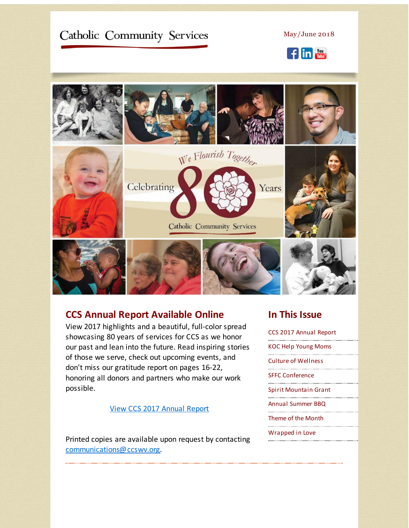# <span id="page-0-0"></span>Catholic Community Services

May/June 2018





### **CCS Annual Report Available Online**

View 2017 highlights and a beautiful, full-color spread showcasing 80 years of services for CCS as we honor our past and lean into the future. Read inspiring stories of those we serve, check out upcoming events, and don't miss our gratitude report on pages 16-22, honoring all donors and partners who make our work possible.

#### View CCS 2017 [Annual](http://r20.rs6.net/tn.jsp?f=001OH75x7aPx486XnkJodtJaP8HdxJKBUcZJbCRITanq5F_9jC3u02k2BYrVbaVtJGqhcJhVhaqLcsV7rl5b5svCeNrz3fEptfcO_80Nu3f0nGVlE9Lu0j9qV0_uBWWbwvJGZexc0AOTbtW0RQz1mJJx-rpE5eU0prq7IDCP1xdGMV7nKCmRw-kjBomTzuyWwW8a7AmQgc18BHOcY1MUmfqv0RNGfHavF95oIG0ZggFNJ-5jS8gsLo5p_RGpNjMW5q6&c=&ch=) Report

Printed copies are available upon request by contacting [communications@ccswv.org](mailto:communications@ccswv.org).

## **In This Issue**

CCS 2017 [Annual](#page-0-0) Report KOC Help [Young](#page-0-0) Moms Culture of [Wellness](#page-0-0) SFFC [Conference](#page-0-0) Spirit [Mountain](#page-0-0) Grant Annual [Summer](#page-0-0) BBQ [Theme](#page-0-0) of the Month [Wrapped](#page-0-0) in Love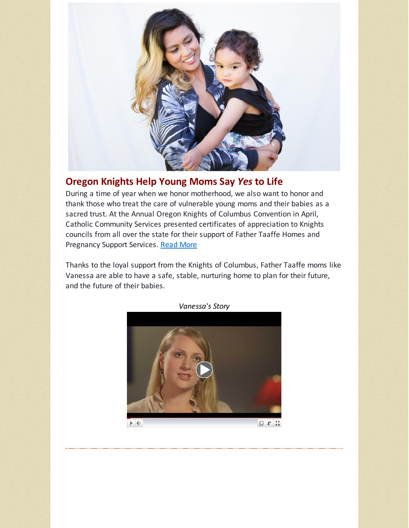

## **Oregon Knights Help Young Moms Say** *Yes* **to Life**

During a time of year when we honor motherhood, we also want to honor and thank those who treat the care of vulnerable young moms and their babies as a sacred trust. At the Annual Oregon Knights of Columbus Convention in April, Catholic Community Services presented certificates of appreciation to Knights councils from all over the state for their support of Father Taaffe Homes and Pregnancy Support Services. [Read](http://r20.rs6.net/tn.jsp?f=001OH75x7aPx486XnkJodtJaP8HdxJKBUcZJbCRITanq5F_9jC3u02k2BYrVbaVtJGqJyLOPXUaK4et6hHSMWBRwHJTSaqJqbFGO9njoVIZR5fr3R9-9_nX9haicar3k8RnV2t0gUjVKLeaZ_g6JnYEFhWOR3fFmD1mYi3ov3KCAw74cxRcfP10vhEMQznU0CmIOgKD8OZHOZeknGE5mp-_8AVNclq5WLqK_wOt4-rLk8U=&c=&ch=) More

Thanks to the loyal support from the Knights of Columbus, Father Taaffe moms like Vanessa are able to have a safe, stable, nurturing home to plan for their future, and the future of their babies.



*Vanessa's Story*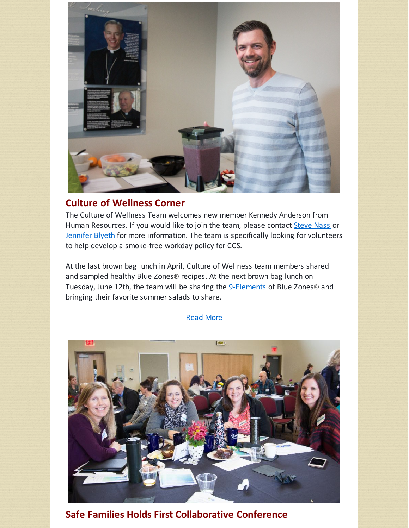

## **Culture of Wellness Corner**

The Culture of Wellness Team welcomes new member Kennedy Anderson from Human Resources. If you would like to join the team, please contact [Steve](mailto:stevenass@ccswv.org) Nass or [Jennifer](mailto:jenniferblyeth@ccswv.org) Blyeth for more information. The team is specifically looking for volunteers to help develop a smoke-free workday policy for CCS.

At the last brown bag lunch in April, Culture of Wellness team members shared and sampled healthy Blue Zones® recipes. At the next brown bag lunch on Tuesday, June 12th, the team will be sharing the **[9-Elements](http://r20.rs6.net/tn.jsp?f=001OH75x7aPx486XnkJodtJaP8HdxJKBUcZJbCRITanq5F_9jC3u02k2BYrVbaVtJGqsRm23Yj9lr73OeyEVajkziJbgfUFaQPX_kDUEnF5F6xudTFwyyCEVITM6gWNlL2LGtRtEv2SL47SrxcvQjIO-JWxPFALuzTyCyX2oiOr_s1khvLDE_7I3HTzxFsTc5AtgswQJVmElCdVMv8jjGf55nKiXhg4a91-opAenggM1LKQri3XcN-uwA==&c=&ch=)** of Blue Zones® and bringing their favorite summer salads to share.

### [Read](http://r20.rs6.net/tn.jsp?f=001OH75x7aPx486XnkJodtJaP8HdxJKBUcZJbCRITanq5F_9jC3u02k2BYrVbaVtJGqRZbgr2SaEeAiDDuLyMAvCMOGAUh016uvEvmvy0roY-jW6HWJLFi4wAhTgmey75Z21rm9YfkrTUHjULZ0QMM1JA3Ly9qvjt9oysulv8oC9yan0Bi6w2uPfoxD1rw400QGdvyhlMQBNr7nhKXzY9_s3g==&c=&ch=) More



**Safe Families Holds First Collaborative Conference**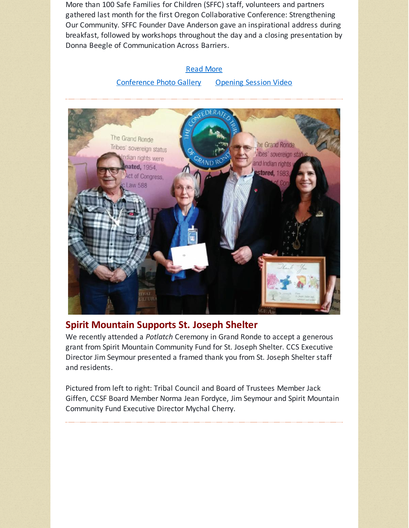More than 100 Safe Families for Children (SFFC) staff, volunteers and partners gathered last month for the first Oregon Collaborative Conference: Strengthening Our Community. SFFC Founder Dave Anderson gave an inspirational address during breakfast, followed by workshops throughout the day and a closing presentation by Donna Beegle of Communication Across Barriers.

#### [Read](http://r20.rs6.net/tn.jsp?f=001OH75x7aPx486XnkJodtJaP8HdxJKBUcZJbCRITanq5F_9jC3u02k2BYrVbaVtJGq7XGSAdFsuaasDuncPW81c_KT8xYlPjW3xdIJWf0rlhrGOdjrxS_kCcZioJ5sSdf9X-phRGEoG5n95vdlhXS6O_oQLrJRldREZFDGwmhoR3_ruTc6pgTGm0xnAhND74wCluuO0PzCoUUGhmaiA1S00RORc0Az3B_AYB0nIx1QraheiJ6OjNbkmQ==&c=&ch=) More

### [Conference](http://r20.rs6.net/tn.jsp?f=001OH75x7aPx486XnkJodtJaP8HdxJKBUcZJbCRITanq5F_9jC3u02k2BYrVbaVtJGqwMhfWynz8aJtGqwu5ogBIjrN4iwpzwW1GJb46KW1KQ06Jvs-hBiukLKw_2GtvaI_p1itnomYEaFyuH89ZBhdK3Gc1T6H_2U0CDFwmN-t7NER6S18wFormKcvI2AqJ4OeppbzUC2IrtU=&c=&ch=) Photo Gallery [Opening](http://r20.rs6.net/tn.jsp?f=001OH75x7aPx486XnkJodtJaP8HdxJKBUcZJbCRITanq5F_9jC3u02k2BYrVbaVtJGqtn41ZYYXNAWZr3q4LOaBxDLlZWVMMuy_Pj_Pax450nU2OpWQgmPGI1OKxV4_193DzmwqD8P8-PdJPWO5J4L0KkxflY5g5EDeMMS3MpE33cD8P7SP-UfsRA==&c=&ch=) Session Video



### **Spirit Mountain Supports St. Joseph Shelter**

We recently attended a *Potlatch* Ceremony in Grand Ronde to accept a generous grant from Spirit Mountain Community Fund for St. Joseph Shelter. CCS Executive Director Jim Seymour presented a framed thank you from St. Joseph Shelter staff and residents.

Pictured from left to right: Tribal Council and Board of Trustees Member Jack Giffen, CCSF Board Member Norma Jean Fordyce, Jim Seymour and Spirit Mountain Community Fund Executive Director Mychal Cherry.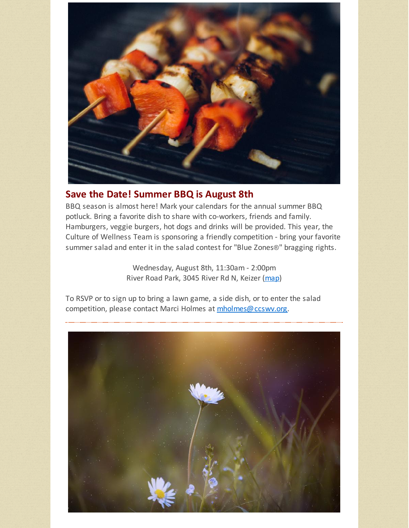

### **Save the Date! Summer BBQ is August 8th**

BBQ season is almost here! Mark your calendars for the annual summer BBQ potluck. Bring a favorite dish to share with co-workers, friends and family. Hamburgers, veggie burgers, hot dogs and drinks will be provided. This year, the Culture of Wellness Team is sponsoring a friendly competition - bring your favorite summer salad and enter it in the salad contest for "Blue Zones**®**" bragging rights.

> Wednesday, August 8th, 11:30am - 2:00pm River Road Park, 3045 River Rd N, Keizer [\(map](http://r20.rs6.net/tn.jsp?f=001OH75x7aPx486XnkJodtJaP8HdxJKBUcZJbCRITanq5F_9jC3u02k2BYrVbaVtJGqkA8Mkze1olgBSmBkFJDIcqAqN1_n_MKM5eM31Y9oaEf0ZfLRrXnmLR_wRzGc_7rK5eAPXZX2sRi5X-harjT8hzGIxlKAHonZqYN8fVQSFzyX8PvLR6FkUezYfYsp9InBPOQ6SOK7MiQqCDs1Leq3HSu80V6NfNSZG_WgD9j2SwI=&c=&ch=))

To RSVP or to sign up to bring a lawn game, a side dish, or to enter the salad competition, please contact Marci Holmes at [mholmes@ccswv.org](mailto:mholmes@ccswv.org).